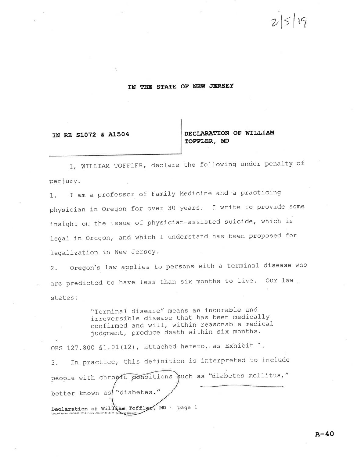# $2|5|$ 19

### IN THE STATE OF NEW JERSEY

#### IN RE S1072 & A1504

## DECLARATION OF WILLIAM TOFFLER, MD

I, WILLIAM TOFFLER, declare the following under penalty of perjury.

I am a professor of Family Medicine and a practicing  $1.1$ physician in Oregon for over 30 years. I write to provide some insight on the issue of physician-assisted suicide, which is legal in Oregon, and which I understand has been proposed for legalization in New Jersey.

Oregon's law applies to persons with a terminal disease who  $2.$ are predicted to have less than six months to live. Our law states:

> "Terminal disease" means an incurable and irreversible disease that has been medically confirmed and will, within reasonable medical judgment, produce death within six months.

ORS 127.800 \$1.01(12), attached hereto, as Exhibit 1. In practice, this definition is interpreted to include  $3.$ people with chronic conditions such as "diabetes mellitus," better known as "diabetes." Declaration of William Toffler, MD - page 1 VASENVER\Root\DOX\ASE\_2016 \\Rew dersey\To[[]or D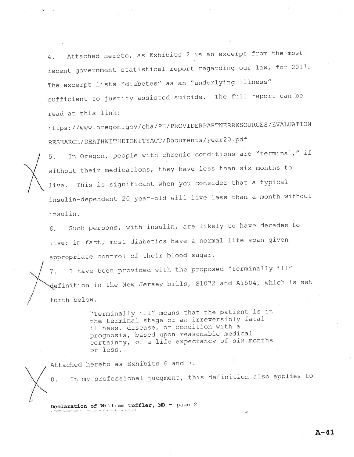Attached hereto, as Exhibits 2 is an excerpt from the most 4. recent government statistical report regarding our law, for 2017. The excerpt lists "diabetes" as an "underlying illness" sufficient to justify assisted suicide. The full report can be read at this link:

https://www.oregon.gov/oha/PH/PROVIDERPARTNERRESOURCES/EVALUATION RESEARCH/DEATHWITHDIGNITYACT/Documents/year20.pdf



In Oregon, people with chronic conditions are "terminal," if  $5.$ without their medications, they have less than six months to This is significant when you consider that a typical  $live.$ insulin-dependent 20 year-old will live less than a month without insulin.

Such persons, with insulin, are likely to have decades to 6. live; in fact, most diabetics have a normal life span given appropriate control of their blood sugar.

I have been provided with the proposed "terminally ill"  $7.$ definition in the New Jersey bills, S1072 and A1504, which is set forth below.

> "Terminally ill" means that the patient is in the terminal stage of an irreversibly fatal illness, disease, or condition with a prognosis, based upon reasonable medical certainty, of a life expectancy of six months or less.

Attached hereto as Exhibits 6 and 7.

In my professional judgment, this definition also applies to 8.

Declaration of William Toffler, MD - page 2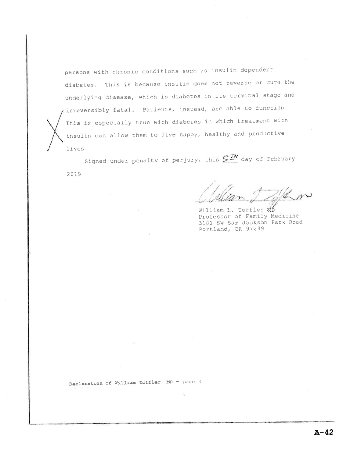persons with chronic conditions such as insulin dependent diabetes. This is because insulin does not reverse or cure the underlying disease, which is diabetes in its terminal stage and irreversibly fatal. Patients, instead, are able to function. This is especially true with diabetes in which treatment with insulin can allow them to live happy, healthy and productive lives.

Signed under penalty of perjury, this  $S^{\overline{\mathcal{I}}\mathcal{H}}$  day of February 2019

Ñ.

William L. Toffler 40 Professor of Family Medicine 3181 SW Sam Jackson Park Road Portland, OR 97239

Declaration of William Toffler, MD - page 3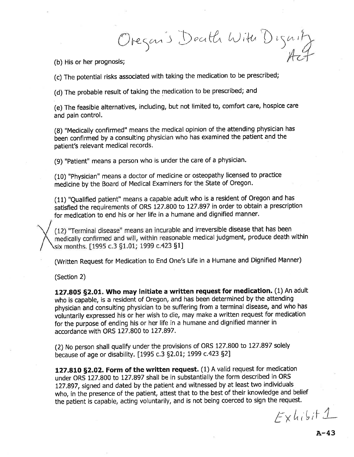regan's Death With D  $\int$  $\mathcal{U}^{(l)}$ 

(b) His or her prognosis;

(c) The potential risks associated with taking the medication to be prescribed;

(d) The probable result of taking the medication to be prescribed; and

(e) The feasible alternatives, including, but not limited to, comfoft care, hospice care and pain control.

(8) "Medically confirmed" means the medical opinion of the attending physician has been confirmed by a consulting physician who has examined the patient and the patient's relevant medical records.

(9) "Patient" means a person who is under the care of a physician.

(10) "Physician" means a doctor of medicine or osteopathy licensed to practice medicine by the Board of Medical Examiners for the State of Oregon.

(11) "Qualified patient" means a capable adult who is a resident of Oregon and has satisfied the requirements of ORS 127.800 to 127.897 in order to obtain a prescription for medication to end his or her life in a humane and dignified manner.

(12) "Terminal disease" means an incurable and irreversible disease that has been medically confirmed and will, within reasonable medical judgment, produce death within six months. [1995 c.3 §1.01; 1999 c.423 §1]

(Written Request for Medication to End One's Life in a Humane and Dignified Manner)

(Section 2)

I

127.805 §2.01. Who may initiate a written request for medication. (1) An adult who is capable, is a resident of Oregon, and has been determined by the attending physician and consulting physician to be suffering from a terminal disease, and who has voluntarily expressed his or her wish to die, may make a written request for medication for the purpose of ending his or her life in a humane and dignified manner in accordance with ORS 127.800 to 127.897.

(2) No person shall qualify under the provisions of ORS 127.800 to 127.897 solely because of age or disability. [1995 c.3 §2.01; 1999 c.423 §2]

127.810 §2.02. Form of the written request. (1) A valid request for medication under ORS 127.800 to 127,897 shall be in substantially the form described in ORS I27.897, signed and dated by the patient and witnessed by at least two individuals who, in the presence of the patient, attest that to the best of their knowledge and belief the patient is capable, acting voluntarily, and is not being coerced to sign the request.

 $E$ x hisit 1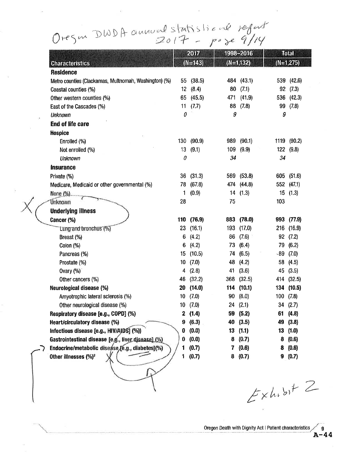Oregon DWDA annual statistical refait

|                                                       | 2017         |         |     | 1998-2016   |       | <b>Total</b>   |  |
|-------------------------------------------------------|--------------|---------|-----|-------------|-------|----------------|--|
| <b>Characteristics</b>                                | $(N=143)$    |         |     | $(N=1,132)$ |       | $(N=1,275)$    |  |
| <b>Residence</b>                                      |              |         |     |             |       |                |  |
| Metro counties (Clackamas, Multnomah, Washington) (%) | 55           | (38.5)  |     | 484 (43.1)  | 539   | (42.6)         |  |
| Coastal counties (%)                                  | 12           | (8.4)   | 80  | (7.1)       | 92    | (7.3)          |  |
| Other western counties (%)                            | 65           | (45.5)  | 471 | (41.9)      | 536   | (42.3)         |  |
| East of the Cascades (%)                              | 11           | (7.7)   | 88  | (7.8)       | 99    | (7.8)          |  |
| <b>Unknown</b>                                        | 0            |         | 9   |             | 9     |                |  |
| <b>End of life care</b>                               |              |         |     |             |       |                |  |
| <b>Hospice</b>                                        |              |         |     |             |       |                |  |
| Enrolled (%)                                          | 130          | (90.9)  | 989 | (90.1)      | 1119  | (90.2)         |  |
| Not enrolled (%)                                      | 13           | (9.1)   | 109 | (9.9)       | 122   | (9.8)          |  |
| <b>Unknown</b>                                        | 0            |         | 34  |             | 34    |                |  |
| <b>Insurance</b>                                      |              |         |     |             |       |                |  |
| Private (%)                                           | 36           | (31.3)  |     | 569 (53.8)  |       | 605 (51.6)     |  |
| Medicare, Medicaid or other governmental (%)          | 78           | (67.8)  | 474 | (44.8)      |       | $552 - (47.1)$ |  |
| None $(%).$                                           | 1            | (0.9)   | 14  | (1.3)       | 15    | (1.3)          |  |
| Unknown                                               | 28           |         | 75  |             | 103   |                |  |
| <b>Underlying illness</b>                             |              |         |     |             |       |                |  |
| Cancer (%)                                            | 110          | (76.9)  | 883 | (78.0)      |       | 993 (77.9)     |  |
| Lung and bronchus (%)                                 | 23           | (16.1)  | 193 | (17.0)      | 216   | (16.9)         |  |
| Breast (%)                                            | 6            | (4.2)   | 86  | (7.6)       | 92    | (7.2)          |  |
| Colon (%)                                             | 6            | (4.2)   | 73  | (6.4)       | 79    | (6.2)          |  |
| Pancreas (%)                                          | 15           | (10.5)  | 74  | (6.5)       | $-89$ | (7.0)          |  |
| Prostate (%)                                          | 10           | (7.0)   | 48  | (4.2)       | 58    | (4.5)          |  |
| Ovary (%)                                             | 4            | (2.8)   | 41  | (3.6)       | 45    | (3.5)          |  |
| Other cancers (%)                                     | 46           | (32.2)  | 368 | (32.5)      |       | 414 (32.5)     |  |
| Neurological disease (%)                              | 20           | (14.0)  | 114 | (10.1)      | 134   | (10.5)         |  |
| Amyotrophic lateral sclerosis (%)                     | 10           | (7.0)   | 90  | (8.0)       |       | $100$ $(7.8)$  |  |
| Other neurological disease (%)                        |              | 10(7.0) |     | 24(2.1)     |       | 34 (2.7)       |  |
| Respiratory disease [e.g., COPD] (%)                  | $\mathbf{2}$ | (1.4)   | 59  | (5.2)       | 61    | (4.8)          |  |
| Heart/circulatory disease (%)                         | 9            | (6.3)   | 40  | (3.5)       | 49    | (3.8)          |  |
| Infectious disease [e.g., HIV/AIDS] (%))              | 0            | (0.0)   | 13  | (1.1)       | 13    | (1.0)          |  |
| Gastrointestinal disease [e.g., liver disease] (%)    | 0            | (0.0)   | 8   | (0.7)       | 8     | (0.6)          |  |
| Endocrine/metabolic disease/e.g., diabetes](%)        | 1            | (0.7)   | 7   | (0.6)       | 8     | (0.6)          |  |
| Other illnesses (%) <sup>2</sup>                      | 1            | (0.7)   | 8   | (0.7)       | 9     | (0.7)          |  |

 $X$ 

 $E$ xhibit  $2$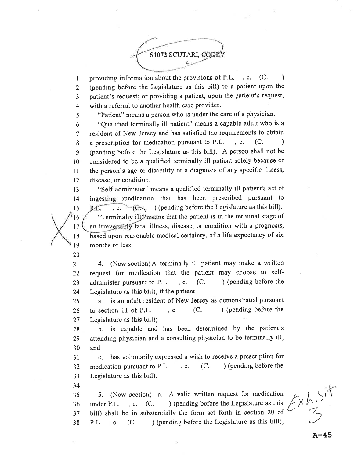

I 2 3 4 providing information about the provisions of P.L., c. (C.) (pending before the Legislature as this bill) to a patient upon the patient's request; or providing a patient, upon the patient's request, with a referral to another health care provider.

"Patient" means a person who is under the care of a physician.

6 7 8 9 l0 11  $12$ "Qualified terminally ill patient" means a capable adult who is a resident of New Jersey and has satisfied the requirements to obtain a prescription for medication pursuant to  $P.L.$ , c.  $(C.$ ) (pending before the Legislature as this bill). A person shall not be considered to be a qualified terminally ill patient solely because of the person's age or disability or a diagnosis of any specific illness, disease, or condition.

"Self-administer" means a qualified terminally ill patient's act of 13 inges medication that has been prescribed pursuant to t4 ) (pending before the Legislature as this bill). l5  $P.E.$  $, c.$  $tC$ "Terminally ill" means that the patient is in the terminal stage of l6 an irreversibly fatal illness, disease, or condition with a prognosis, l7 based upon reasonable medical certainty, of a life expectancy of six 18 l9 months or less,

20

5

2l 22 23 24 4. (New section) A terminally ill patient may make a written request for medication that the patient may choose to selfadminister pursuant to P.L.  $\,$ , c.  $\,$  (C.  $\,$  ) (pending before the Legislature as this bill), if the patient:

25 26 27 a. is an adult resident of New Jerscy as demonstrated pursuant to section 11 of P.L.  $\ldots$ , c.  $(C.$  ) (pending before the Legislature as this bill);

28 29 30 b. is capable and has been determined by the patient's attending physician and a consulting physician to be terminally ill; and

3l 32 JJ c. has voluntarily expressed a wish to receive a prescription for medication pursuant to P.L., c.  $(C.$  ) (pending before the Legislature as this bill).

34

35 36 37 38 5. (New section) a. A valid written request for medication under P.L.  $, c.$  (C. ) (pending before the Legislature as this bill) shall be in substantially the form set forth in section 20 of P.L. . c. (C. ) (pending before the Legislature as this bill),

 $\sqrt{2}$  $\mathcal{Z}$ Ex